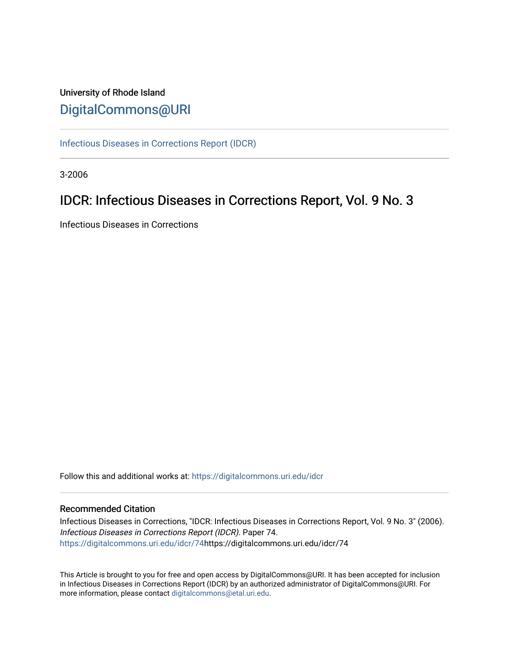# University of Rhode Island [DigitalCommons@URI](https://digitalcommons.uri.edu/)

[Infectious Diseases in Corrections Report \(IDCR\)](https://digitalcommons.uri.edu/idcr)

3-2006

# IDCR: Infectious Diseases in Corrections Report, Vol. 9 No. 3

Infectious Diseases in Corrections

Follow this and additional works at: [https://digitalcommons.uri.edu/idcr](https://digitalcommons.uri.edu/idcr?utm_source=digitalcommons.uri.edu%2Fidcr%2F74&utm_medium=PDF&utm_campaign=PDFCoverPages)

## Recommended Citation

Infectious Diseases in Corrections, "IDCR: Infectious Diseases in Corrections Report, Vol. 9 No. 3" (2006). Infectious Diseases in Corrections Report (IDCR). Paper 74. [https://digitalcommons.uri.edu/idcr/74h](https://digitalcommons.uri.edu/idcr/74?utm_source=digitalcommons.uri.edu%2Fidcr%2F74&utm_medium=PDF&utm_campaign=PDFCoverPages)ttps://digitalcommons.uri.edu/idcr/74

This Article is brought to you for free and open access by DigitalCommons@URI. It has been accepted for inclusion in Infectious Diseases in Corrections Report (IDCR) by an authorized administrator of DigitalCommons@URI. For more information, please contact [digitalcommons@etal.uri.edu.](mailto:digitalcommons@etal.uri.edu)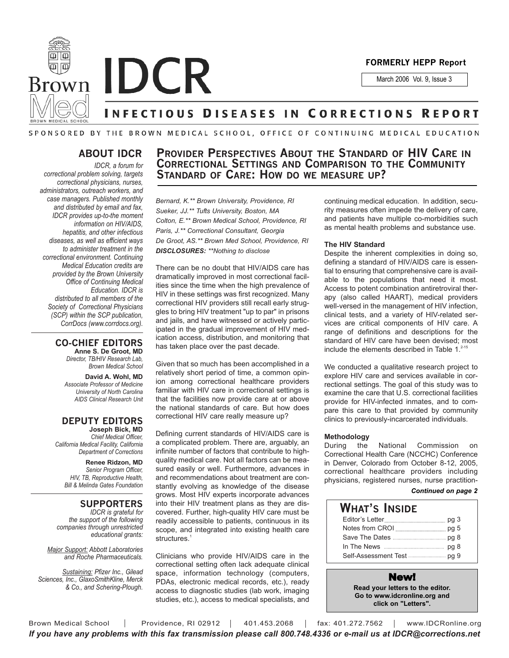

**Brown IDCR** 

March 2006 Vol. 9, Issue 3

# **INFECTIOUS DISEASES IN CORRECTIONS REPORT**

## SPONSORED BY THE BROWN MEDICAL SCHOOL, OFFICE OF CONTINUING MEDICAL EDUCATION

## **ABOUT IDCR**

*IDCR, a forum for correctional problem solving, targets correctional physicians, nurses, administrators, outreach workers, and case managers. Published monthly and distributed by email and fax, IDCR provides up-to-the moment information on HIV/AIDS, hepatitis, and other infectious diseases, as well as efficient ways to administer treatment in the correctional environment. Continuing Medical Education credits are provided by the Brown University Office of Continuing Medical Education. IDCR is distributed to all members of the Society of Correctional Physicians (SCP) within the SCP publication, CorrDocs (www.corrdocs.org).*

#### **CO-CHIEF EDITORS Anne S. De Groot, MD**

*Director, TB/HIV Research Lab, Brown Medical School*

**David A. Wohl, MD** *Associate Professor of Medicine University of North Carolina AIDS Clinical Research Unit*

#### **DEPUTY EDITORS Joseph Bick, MD**

*Chief Medical Officer, California Medical Facility, California Department of Corrections*

> **Renee Ridzon, MD** *Senior Program Officer, HIV, TB, Reproductive Health, Bill & Melinda Gates Foundation*

## **SUPPORTERS**

*IDCR is grateful for the support of the following companies through unrestricted educational grants:*

*Major Support: Abbott Laboratories and Roche Pharmaceuticals.* 

*Sustaining: Pfizer Inc., Gilead Sciences, Inc., GlaxoSmithKline, Merck & Co., and Schering-Plough.*

## **PROVIDER PERSPECTIVES ABOUT THE STANDARD OF HIV CARE IN CORRECTIONAL SETTINGS AND COMPARISON TO THE COMMUNITY STANDARD OF CARE: HOW DO WE MEASURE UP?**

*Bernard, K.\*\* Brown University, Providence, RI Sueker, JJ.\*\* Tufts University, Boston, MA Colton, E.\*\* Brown Medical School, Providence, RI Paris, J.\*\* Correctional Consultant, Georgia De Groot, AS.\*\* Brown Med School, Providence, RI DISCLOSURES: \*\*Nothing to disclose*

There can be no doubt that HIV/AIDS care has dramatically improved in most correctional facilities since the time when the high prevalence of HIV in these settings was first recognized. Many correctional HIV providers still recall early struggles to bring HIV treatment "up to par" in prisons and jails, and have witnessed or actively participated in the gradual improvement of HIV medication access, distribution, and monitoring that has taken place over the past decade.

Given that so much has been accomplished in a relatively short period of time, a common opinion among correctional healthcare providers familiar with HIV care in correctional settings is that the facilities now provide care at or above the national standards of care. But how does correctional HIV care really measure up?

Defining current standards of HIV/AIDS care is a complicated problem. There are, arguably, an infinite number of factors that contribute to highquality medical care. Not all factors can be measured easily or well. Furthermore, advances in and recommendations about treatment are constantly evolving as knowledge of the disease grows. Most HIV experts incorporate advances into their HIV treatment plans as they are discovered. Further, high-quality HIV care must be readily accessible to patients, continuous in its scope, and integrated into existing health care structures.<sup>1</sup>

Clinicians who provide HIV/AIDS care in the correctional setting often lack adequate clinical space, information technology (computers, PDAs, electronic medical records, etc.), ready access to diagnostic studies (lab work, imaging studies, etc.), access to medical specialists, and

continuing medical education. In addition, security measures often impede the delivery of care, and patients have multiple co-morbidities such as mental health problems and substance use.

#### **The HIV Standard**

Despite the inherent complexities in doing so, defining a standard of HIV/AIDS care is essential to ensuring that comprehensive care is available to the populations that need it most. Access to potent combination antiretroviral therapy (also called HAART), medical providers well-versed in the management of HIV infection, clinical tests, and a variety of HIV-related services are critical components of HIV care. A range of definitions and descriptions for the standard of HIV care have been devised; most include the elements described in Table  $1^{2-15}$ 

We conducted a qualitative research project to explore HIV care and services available in correctional settings. The goal of this study was to examine the care that U.S. correctional facilities provide for HIV-infected inmates, and to compare this care to that provided by community clinics to previously-incarcerated individuals.

#### **Methodology**

During the National Commission on Correctional Health Care (NCCHC) Conference in Denver, Colorado from October 8-12, 2005, correctional healthcare providers including physicians, registered nurses, nurse practition-

### *Continued on page 2*

| <b>WHAT'S INSIDE</b> |  |
|----------------------|--|
| Editor's Letter      |  |
|                      |  |
|                      |  |
|                      |  |
|                      |  |

## New!

**Read your letters to the editor. Go to www.idcronline.org and click on "Letters".**

Brown Medical School | Providence, RI 02912 | 401.453.2068 | fax: 401.272.7562 | www.IDCRonline.org *If you have any problems with this fax transmission please call 800.748.4336 or e-mail us at IDCR@corrections.net*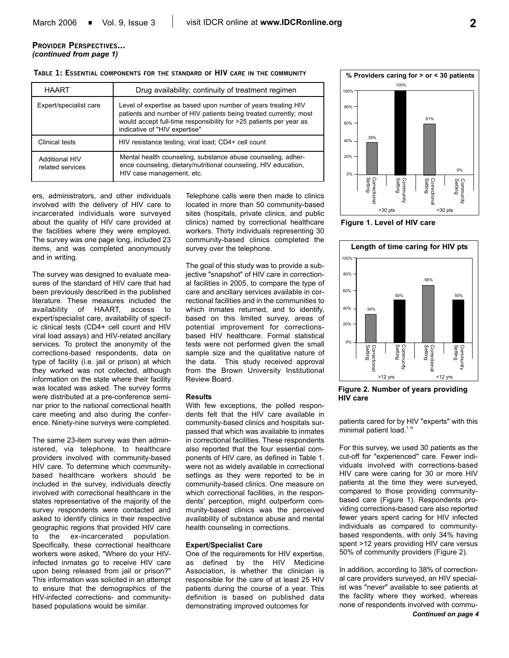## **PROVIDER PERSPECTIVES...** *(continued from page 1)*

### **TABLE 1: ESSENTIAL COMPONENTS FOR THE STANDARD OF HIV CARE IN THE COMMUNITY**

| <b>HAART</b>                              | Drug availability; continuity of treatment regimen                                                                                                                                                                                        |
|-------------------------------------------|-------------------------------------------------------------------------------------------------------------------------------------------------------------------------------------------------------------------------------------------|
| Expert/specialist care                    | Level of expertise as based upon number of years treating HIV<br>patients and number of HIV patients being treated currently; most<br>would accept full-time responsibility for >25 patients per year as<br>indicative of "HIV expertise" |
| Clinical tests                            | HIV resistance testing; viral load; CD4+ cell count                                                                                                                                                                                       |
| <b>Additional HIV</b><br>related services | Mental health counseling, substance abuse counseling, adher-<br>ence counseling, dietary/nutritional counseling, HIV education,<br>HIV case management, etc.                                                                              |

ers, administrators, and other individuals involved with the delivery of HIV care to incarcerated individuals were surveyed about the quality of HIV care provided at the facilities where they were employed. The survey was one page long, included 23 items, and was completed anonymously and in writing.

The survey was designed to evaluate measures of the standard of HIV care that had been previously described in the published literature. These measures included the availability of HAART, access to expert/specialist care, availability of specific clinical tests (CD4+ cell count and HIV viral load assays) and HIV-related ancillary services. To protect the anonymity of the corrections-based respondents, data on type of facility (i.e. jail or prison) at which they worked was not collected, although information on the state where their facility was located was asked. The survey forms were distributed at a pre-conference seminar prior to the national correctional health care meeting and also during the conference. Ninety-nine surveys were completed.

The same 23-item survey was then administered, via telephone, to healthcare providers involved with community-based HIV care. To determine which communitybased healthcare workers should be included in the survey, individuals directly involved with correctional healthcare in the states representative of the majority of the survey respondents were contacted and asked to identify clinics in their respective geographic regions that provided HIV care to the ex-incarcerated population. Specifically, these correctional healthcare workers were asked, "Where do your HIVinfected inmates go to receive HIV care upon being released from jail or prison?" This information was solicited in an attempt to ensure that the demographics of the HIV-infected corrections- and communitybased populations would be similar.

Telephone calls were then made to clinics located in more than 50 community-based sites (hospitals, private clinics, and public clinics) named by correctional healthcare workers. Thirty individuals representing 30 community-based clinics completed the survey over the telephone.

The goal of this study was to provide a subjective "snapshot" of HIV care in correctional facilities in 2005, to compare the type of care and ancillary services available in correctional facilities and in the communities to which inmates returned, and to identify. based on this limited survey, areas of potential improvement for correctionsbased HIV healthcare. Formal statistical tests were not performed given the small sample size and the qualitative nature of the data. This study received approval from the Brown University Institutional Review Board.

## **Results**

With few exceptions, the polled respondents felt that the HIV care available in community-based clinics and hospitals surpassed that which was available to inmates in correctional facilities. These respondents also reported that the four essential components of HIV care, as defined in Table 1. were not as widely available in correctional settings as they were reported to be in community-based clinics. One measure on which correctional facilities, in the respondents' perception, might outperform community-based clinics was the perceived availability of substance abuse and mental health counseling in corrections.

## **Expert/Specialist Care**

One of the requirements for HIV expertise, as defined by the HIV Medicine Association, is whether the clinician is responsible for the care of at least 25 HIV patients during the course of a year. This definition is based on published data demonstrating improved outcomes for



**Figure 1. Level of HIV care** 



**Figure 2. Number of years providing HIV care** 

patients cared for by HIV "experts" with this minimal patient load.<sup>1,16</sup>

For this survey, we used 30 patients as the cut-off for "experienced" care. Fewer individuals involved with corrections-based HIV care were caring for 30 or more HIV patients at the time they were surveyed, compared to those providing communitybased care (Figure 1). Respondents providing corrections-based care also reported fewer years spent caring for HIV infected individuals as compared to communitybased respondents, with only 34% having spent >12 years providing HIV care versus 50% of community providers (Figure 2).

In addition, according to 38% of correctional care providers surveyed, an HIV specialist was "never" available to see patients at the facility where they worked, whereas none of respondents involved with commu-*Continued on page 4*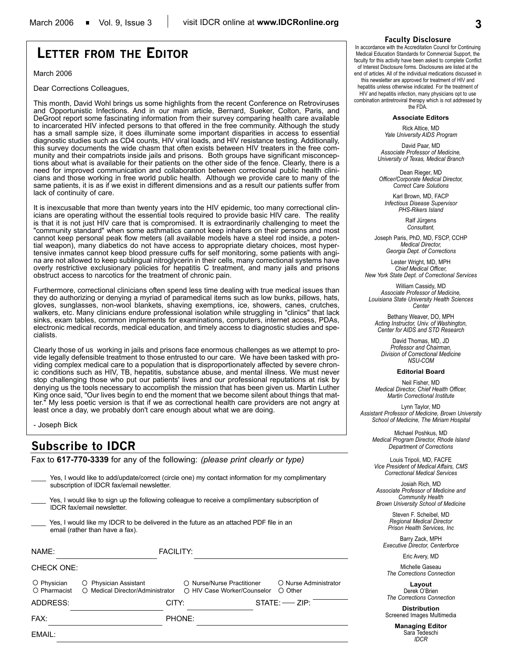# **LETTER FROM THE EDITOR**

March 2006

Dear Corrections Colleagues,

This month, David Wohl brings us some highlights from the recent Conference on Retroviruses and Opportunistic Infections. And in our main article, Bernard, Sueker, Colton, Paris, and DeGroot report some fascinating information from their survey comparing health care available to incarcerated HIV infected persons to that offered in the free community. Although the study has a small sample size, it does illuminate some important disparities in access to essential diagnostic studies such as CD4 counts, HIV viral loads, and HIV resistance testing. Additionally, this survey documents the wide chasm that often exists between HIV treaters in the free community and their compatriots inside jails and prisons. Both groups have significant misconceptions about what is available for their patients on the other side of the fence. Clearly, there is a need for improved communication and collaboration between correctional public health clinicians and those working in free world public health. Although we provide care to many of the same patients, it is as if we exist in different dimensions and as a result our patients suffer from lack of continuity of care.

It is inexcusable that more than twenty years into the HIV epidemic, too many correctional clinicians are operating without the essential tools required to provide basic HIV care. The reality is that it is not just HIV care that is compromised. It is extraordinarily challenging to meet the "community standard" when some asthmatics cannot keep inhalers on their persons and most cannot keep personal peak flow meters (all available models have a steel rod inside, a potential weapon), many diabetics do not have access to appropriate dietary choices, most hypertensive inmates cannot keep blood pressure cuffs for self monitoring, some patients with angina are not allowed to keep sublingual nitroglycerin in their cells, many correctional systems have overly restrictive exclusionary policies for hepatitis C treatment, and many jails and prisons obstruct access to narcotics for the treatment of chronic pain.

Furthermore, correctional clinicians often spend less time dealing with true medical issues than they do authorizing or denying a myriad of paramedical items such as low bunks, pillows, hats, gloves, sunglasses, non-wool blankets, shaving exemptions, ice, showers, canes, crutches, walkers, etc. Many clinicians endure professional isolation while struggling in "clinics" that lack sinks, exam tables, common implements for examinations, computers, internet access, PDAs, electronic medical records, medical education, and timely access to diagnostic studies and specialists.

Clearly those of us working in jails and prisons face enormous challenges as we attempt to provide legally defensible treatment to those entrusted to our care. We have been tasked with providing complex medical care to a population that is disproportionately affected by severe chronic conditions such as HIV, TB, hepatitis, substance abuse, and mental illness. We must never stop challenging those who put our patients' lives and our professional reputations at risk by denying us the tools necessary to accomplish the mission that has been given us. Martin Luther King once said, "Our lives begin to end the moment that we become silent about things that matter." My less poetic version is that if we as correctional health care providers are not angry at least once a day, we probably don't care enough about what we are doing.

- Joseph Bick

## **Subscribe to IDCR**

Fax to **617-770-3339** for any of the following: *(please print clearly or type)*

|                                  | subscription of IDCR fax/email newsletter.              | Yes, I would like to add/update/correct (circle one) my contact information for my complimentary |                                  |
|----------------------------------|---------------------------------------------------------|--------------------------------------------------------------------------------------------------|----------------------------------|
| IDCR fax/email newsletter.       |                                                         | Yes, I would like to sign up the following colleague to receive a complimentary subscription of  |                                  |
| email (rather than have a fax).  |                                                         | Yes, I would like my IDCR to be delivered in the future as an attached PDF file in an            |                                  |
| NAME:                            | <b>FACILITY:</b>                                        |                                                                                                  |                                  |
| CHECK ONE:                       |                                                         |                                                                                                  |                                  |
| O Physician<br>Ő<br>◯ Pharmacist | Physician Assistant<br>○ Medical Director/Administrator | ○ Nurse/Nurse Practitioner<br>○ HIV Case Worker/Counselor                                        | O Nurse Administrator<br>○ Other |
| ADDRESS:                         | CITY:                                                   |                                                                                                  | $STATE:$ $\longrightarrow$ ZIP:  |
| FAX:                             |                                                         | <b>PHONE:</b>                                                                                    |                                  |
| EMAIL:                           |                                                         |                                                                                                  |                                  |

### **Faculty Disclosure**

In accordance with the Accreditation Council for Continuing Medical Education Standards for Commercial Support, the faculty for this activity have been asked to complete Conflict of Interest Disclosure forms. Disclosures are listed at the end of articles. All of the individual medications discussed in this newsletter are approved for treatment of HIV and

hepatitis unless otherwise indicated. For the treatment of HIV and hepatitis infection, many physicians opt to use combination antiretroviral therapy which is not addressed by the FDA.

#### **Associate Editors**

Rick Altice, MD *Yale University AIDS Program*

David Paar, MD *Associate Professor of Medicine, University of Texas, Medical Branch*

Dean Rieger, MD *Officer/Corporate Medical Director, Correct Care Solutions*

Karl Brown, MD, FACP *Infectious Disease Supervisor PHS-Rikers Island*

> Ralf Jürgens *Consultant,*

Joseph Paris, PhD, MD, FSCP, CCHP *Medical Director, Georgia Dept. of Corrections*

Lester Wright, MD, MPH *Chief Medical Officer, New York State Dept. of Correctional Services*

William Cassidy, MD *Associate Professor of Medicine, Louisiana State University Health Sciences Center*

Bethany Weaver, DO, MPH *Acting Instructor, Univ. of Washington, Center for AIDS and STD Research*

David Thomas, MD, JD *Professor and Chairman, Division of Correctional Medicine NSU-COM*

#### **Editorial Board**

Neil Fisher, MD *Medical Director, Chief Health Officer, Martin Correctional Institute*

Lynn Taylor, MD *Assistant Professor of Medicine, Brown University School of Medicine, The Miriam Hospital*

> Michael Poshkus, MD *Medical Program Director, Rhode Island Department of Corrections*

Louis Tripoli, MD, FACFE *Vice President of Medical Affairs, CMS Correctional Medical Services*

Josiah Rich, MD *Associate Professor of Medicine and Community Health Brown University School of Medicine*

> Steven F. Scheibel, MD *Regional Medical Director Prison Health Services, Inc*

Barry Zack, MPH *Executive Director, Centerforce*

Eric Avery, MD

Michelle Gaseau *The Corrections Connection*

**Layout** Derek O'Brien *The Corrections Connection*

**Distribution** Screened Images Multimedia

> **Managing Editor** Sara Tedeschi *IDCR*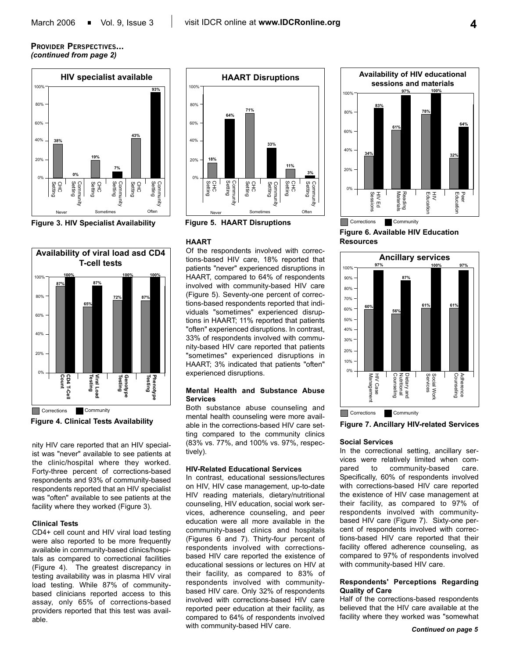## **PROVIDER PERSPECTIVES...** *(continued from page 2)*



**Figure 3. HIV Specialist Availability** 





nity HIV care reported that an HIV specialist was "never" available to see patients at the clinic/hospital where they worked. Forty-three percent of corrections-based respondents and 93% of community-based respondents reported that an HIV specialist was "often" available to see patients at the facility where they worked (Figure 3).

#### **Clinical Tests**

CD4+ cell count and HIV viral load testing were also reported to be more frequently available in community-based clinics/hospitals as compared to correctional facilities (Figure 4). The greatest discrepancy in testing availability was in plasma HIV viral load testing. While 87% of communitybased clinicians reported access to this assay, only 65% of corrections-based providers reported that this test was available.



**Figure 5. HAART Disruptions**

#### **HAART**

Of the respondents involved with corrections-based HIV care, 18% reported that patients "never" experienced disruptions in HAART, compared to 64% of respondents involved with community-based HIV care (Figure 5). Seventy-one percent of corrections-based respondents reported that individuals "sometimes" experienced disruptions in HAART; 11% reported that patients "often" experienced disruptions. In contrast, 33% of respondents involved with community-based HIV care reported that patients "sometimes" experienced disruptions in HAART; 3% indicated that patients "often" experienced disruptions.

### **Mental Health and Substance Abuse Services**

Both substance abuse counseling and mental health counseling were more available in the corrections-based HIV care setting compared to the community clinics (83% vs. 77%, and 100% vs. 97%, respectively).

#### **HIV-Related Educational Services**

In contrast, educational sessions/lectures on HIV, HIV case management, up-to-date HIV reading materials, dietary/nutritional counseling, HIV education, social work services, adherence counseling, and peer education were all more available in the community-based clinics and hospitals (Figures 6 and 7). Thirty-four percent of respondents involved with correctionsbased HIV care reported the existence of educational sessions or lectures on HIV at their facility, as compared to 83% of respondents involved with communitybased HIV care. Only 32% of respondents involved with corrections-based HIV care reported peer education at their facility, as compared to 64% of respondents involved with community-based HIV care.



**Figure 6. Available HIV Education Resources** 



**Figure 7. Ancillary HIV-related Services** 

## **Social Services**

In the correctional setting, ancillary services were relatively limited when compared to community-based care. Specifically, 60% of respondents involved with corrections-based HIV care reported the existence of HIV case management at their facility, as compared to 97% of respondents involved with communitybased HIV care (Figure 7). Sixty-one percent of respondents involved with corrections-based HIV care reported that their facility offered adherence counseling, as compared to 97% of respondents involved with community-based HIV care.

### **Respondents' Perceptions Regarding Quality of Care**

Half of the corrections-based respondents believed that the HIV care available at the facility where they worked was "somewhat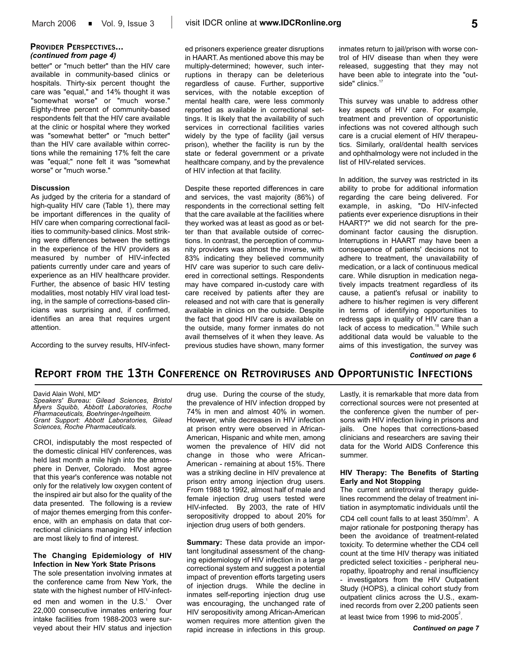## **PROVIDER PERSPECTIVES...** *(continued from page 4)*

better" or "much better" than the HIV care available in community-based clinics or hospitals. Thirty-six percent thought the care was "equal," and 14% thought it was "somewhat worse" or "much worse." Eighty-three percent of community-based respondents felt that the HIV care available at the clinic or hospital where they worked was "somewhat better" or "much better" than the HIV care available within corrections while the remaining 17% felt the care was "equal;" none felt it was "somewhat worse" or "much worse."

#### **Discussion**

As judged by the criteria for a standard of high-quality HIV care (Table 1), there may be important differences in the quality of HIV care when comparing correctional facilities to community-based clinics. Most striking were differences between the settings in the experience of the HIV providers as measured by number of HIV-infected patients currently under care and years of experience as an HIV healthcare provider. Further, the absence of basic HIV testing modalities, most notably HIV viral load testing, in the sample of corrections-based clinicians was surprising and, if confirmed, identifies an area that requires urgent attention.

According to the survey results, HIV-infect-

ed prisoners experience greater disruptions in HAART. As mentioned above this may be multiply-determined; however, such interruptions in therapy can be deleterious regardless of cause. Further, supportive services, with the notable exception of mental health care, were less commonly reported as available in correctional settings. It is likely that the availability of such services in correctional facilities varies widely by the type of facility (jail versus prison), whether the facility is run by the state or federal government or a private healthcare company, and by the prevalence of HIV infection at that facility.

Despite these reported differences in care and services, the vast majority (86%) of respondents in the correctional setting felt that the care available at the facilities where they worked was at least as good as or better than that available outside of corrections. In contrast, the perception of community providers was almost the inverse, with 83% indicating they believed community HIV care was superior to such care delivered in correctional settings. Respondents may have compared in-custody care with care received by patients after they are released and not with care that is generally available in clinics on the outside. Despite the fact that good HIV care is available on the outside, many former inmates do not avail themselves of it when they leave. As previous studies have shown, many former

inmates return to jail/prison with worse control of HIV disease than when they were released, suggesting that they may not have been able to integrate into the "outside" clinics.<sup>17</sup>

This survey was unable to address other key aspects of HIV care. For example, treatment and prevention of opportunistic infections was not covered although such care is a crucial element of HIV therapeutics. Similarly, oral/dental health services and ophthalmology were not included in the list of HIV-related services.

In addition, the survey was restricted in its ability to probe for additional information regarding the care being delivered. For example, in asking, "Do HIV-infected patients ever experience disruptions in their HAART?" we did not search for the predominant factor causing the disruption. Interruptions in HAART may have been a consequence of patients' decisions not to adhere to treatment, the unavailability of medication, or a lack of continuous medical care. While disruption in medication negatively impacts treatment regardless of its cause, a patient's refusal or inability to adhere to his/her regimen is very different in terms of identifying opportunities to redress gaps in quality of HIV care than a lack of access to medication.<sup>18</sup> While such additional data would be valuable to the aims of this investigation, the survey was

*Continued on page 6*

## **REPORT FROM THE 13TH CONFERENCE ON RETROVIRUSES AND OPPORTUNISTIC INFECTIONS**

David Alain Wohl, MD\*

*Speakers' Bureau: Gilead Sciences, Bristol Myers Squibb, Abbott Laboratories, Roche Pharmaceuticals, Boehringer-Ingelheim. Grant Support: Abbott Laboratories, Gilead Sciences, Roche Pharmaceuticals.* 

CROI, indisputably the most respected of the domestic clinical HIV conferences, was held last month a mile high into the atmosphere in Denver, Colorado. Most agree that this year's conference was notable not only for the relatively low oxygen content of the inspired air but also for the quality of the data presented. The following is a review of major themes emerging from this conference, with an emphasis on data that correctional clinicians managing HIV infection are most likely to find of interest.

## **The Changing Epidemiology of HIV Infection in New York State Prisons**

The sole presentation involving inmates at the conference came from New York, the state with the highest number of HIV-infect-

ed men and women in the  $U.S.^1$  Over 22,000 consecutive inmates entering four intake facilities from 1988-2003 were surveyed about their HIV status and injection drug use. During the course of the study, the prevalence of HIV infection dropped by 74% in men and almost 40% in women. However, while decreases in HIV infection at prison entry were observed in African-American, Hispanic and white men, among women the prevalence of HIV did not change in those who were African-American - remaining at about 15%. There was a striking decline in HIV prevalence at prison entry among injection drug users. From 1988 to 1992, almost half of male and female injection drug users tested were HIV-infected. By 2003, the rate of HIV seropositivity dropped to about 20% for injection drug users of both genders.

**Summary:** These data provide an important longitudinal assessment of the changing epidemiology of HIV infection in a large correctional system and suggest a potential impact of prevention efforts targeting users of injection drugs. While the decline in inmates self-reporting injection drug use was encouraging, the unchanged rate of HIV seropositivity among African-American women requires more attention given the rapid increase in infections in this group.

Lastly, it is remarkable that more data from correctional sources were not presented at the conference given the number of persons with HIV infection living in prisons and jails. One hopes that corrections-based clinicians and researchers are saving their data for the World AIDS Conference this summer.

### **HIV Therapy: The Benefits of Starting Early and Not Stopping**

The current antiretroviral therapy guidelines recommend the delay of treatment initiation in asymptomatic individuals until the CD4 cell count falls to at least 350/mm<sup>3</sup>. A major rationale for postponing therapy has been the avoidance of treatment-related toxicity. To determine whether the CD4 cell count at the time HIV therapy was initiated predicted select toxicities - peripheral neuropathy, lipoatrophy and renal insufficiency - investigators from the HIV Outpatient Study (HOPS), a clinical cohort study from outpatient clinics across the U.S., examined records from over 2,200 patients seen

at least twice from 1996 to mid-2005 $^{2}$ .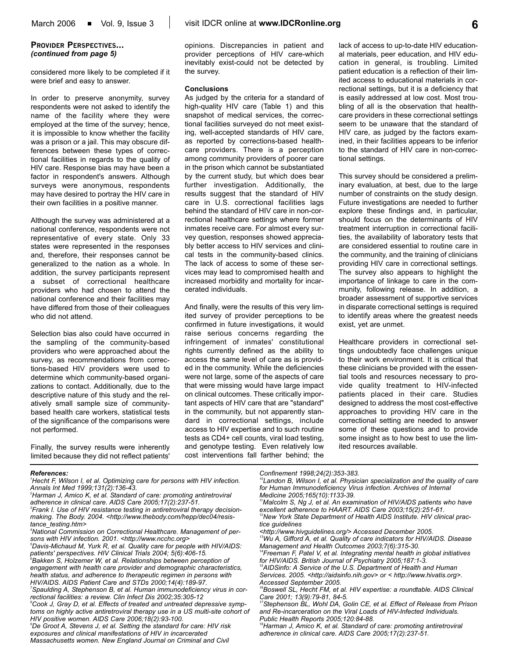## **PROVIDER PERSPECTIVES...** *(continued from page 5)*

considered more likely to be completed if it were brief and easy to answer.

In order to preserve anonymity, survey respondents were not asked to identify the name of the facility where they were employed at the time of the survey; hence, it is impossible to know whether the facility was a prison or a jail. This may obscure differences between these types of correctional facilities in regards to the quality of HIV care. Response bias may have been a factor in respondent's answers. Although surveys were anonymous, respondents may have desired to portray the HIV care in their own facilities in a positive manner.

Although the survey was administered at a national conference, respondents were not representative of every state. Only 33 states were represented in the responses and, therefore, their responses cannot be generalized to the nation as a whole. In addition, the survey participants represent a subset of correctional healthcare providers who had chosen to attend the national conference and their facilities may have differed from those of their colleagues who did not attend.

Selection bias also could have occurred in the sampling of the community-based providers who were approached about the survey, as recommendations from corrections-based HIV providers were used to determine which community-based organizations to contact. Additionally, due to the descriptive nature of this study and the relatively small sample size of communitybased health care workers, statistical tests of the significance of the comparisons were not performed.

Finally, the survey results were inherently limited because they did not reflect patients'

opinions. Discrepancies in patient and provider perceptions of HIV care-which inevitably exist-could not be detected by the survey.

### **Conclusions**

As judged by the criteria for a standard of high-quality HIV care (Table 1) and this snapshot of medical services, the correctional facilities surveyed do not meet existing, well-accepted standards of HIV care, as reported by corrections-based healthcare providers. There is a perception among community providers of poorer care in the prison which cannot be substantiated by the current study, but which does bear further investigation. Additionally, the results suggest that the standard of HIV care in U.S. correctional facilities lags behind the standard of HIV care in non-correctional healthcare settings where former inmates receive care. For almost every survey question, responses showed appreciably better access to HIV services and clinical tests in the community-based clinics. The lack of access to some of these services may lead to compromised health and increased morbidity and mortality for incarcerated individuals.

And finally, were the results of this very limited survey of provider perceptions to be confirmed in future investigations, it would raise serious concerns regarding the infringement of inmates' constitutional rights currently defined as the ability to access the same level of care as is provided in the community. While the deficiencies were not large, some of the aspects of care that were missing would have large impact on clinical outcomes. These critically important aspects of HIV care that are "standard" in the community, but not apparently standard in correctional settings, include access to HIV expertise and to such routine tests as CD4+ cell counts, viral load testing, and genotype testing. Even relatively low cost interventions fall farther behind; the lack of access to up-to-date HIV educational materials, peer education, and HIV education in general, is troubling. Limited patient education is a reflection of their limited access to educational materials in correctional settings, but it is a deficiency that is easily addressed at low cost. Most troubling of all is the observation that healthcare providers in these correctional settings seem to be unaware that the standard of HIV care, as judged by the factors examined, in their facilities appears to be inferior to the standard of HIV care in non-correctional settings.

This survey should be considered a preliminary evaluation, at best, due to the large number of constraints on the study design. Future investigations are needed to further explore these findings and, in particular, should focus on the determinants of HIV treatment interruption in correctional facilities, the availability of laboratory tests that are considered essential to routine care in the community, and the training of clinicians providing HIV care in correctional settings. The survey also appears to highlight the importance of linkage to care in the community, following release. In addition, a broader assessment of supportive services in disparate correctional settings is required to identify areas where the greatest needs exist, yet are unmet.

Healthcare providers in correctional settings undoubtedly face challenges unique to their work environment. It is critical that these clinicians be provided with the essential tools and resources necessary to provide quality treatment to HIV-infected patients placed in their care. Studies designed to address the most cost-effective approaches to providing HIV care in the correctional setting are needed to answer some of these questions and to provide some insight as to how best to use the limited resources available.

#### *References:*

- *1 Hecht F, Wilson I, et al. Optimizing care for persons with HIV infection. Annals Int Med 1999;131(2):136-43.*
- *2 Harman J, Amico K, et al. Standard of care: promoting antiretroviral adherence in clinical care. AIDS Care 2005;17(2):237-51.*
- *3 Frank I. Use of HIV resistance testing in antiretroviral therapy decisionmaking. The Body. 2004. <http://www.thebody.com/hepp/dec04/resistance\_testing.htm>*
- *4 National Commission on Correctional Healthcare. Management of persons with HIV infection. 2001. <http://www.ncchc.org>*

*5 Davis-Michaud M, Yurk R, et al. Quality care for people with HIV/AIDS: patients' perspectives. HIV Clinical Trials 2004; 5(6):406-15. 6 Bakken S, Holzemer W, et al. Relationships between perception of engagement with health care provider and demographic characteristics, health status, and adherence to therapeutic regimen in persons with HIV/AIDS. AIDS Patient Care and STDs 2000;14(4):189-97.*

*7 Spaulding A, Stephenson B, et al. Human immunodeficiency virus in correctional facilities: a review. Clin Infect Dis 2002;35:305-12*

*8 Cook J, Gray D, et al. Effects of treated and untreated depressive symptoms on highly active antiretroviral therapy use in a US multi-site cohort of HIV positive women. AIDS Care 2006;18(2):93-100.* 

*9 De Groot A, Stevens J, et al. Setting the standard for care: HIV risk exposures and clinical manifestations of HIV in incarcerated Massachusetts women. New England Journal on Criminal and Civil*

*Confinement 1998;24(2):353-383.* 

*11Malcolm S, Ng J, et al. An examination of HIV/AIDS patients who have excellent adherence to HAART. AIDS Care 2003;15(2):251-61.* 

*12New York State Department of Health AIDS Institute. HIV clinical practice guidelines*

*<http://www.hivguidelines.org/> Accessed December 2005.*

*13Wu A, Gifford A, et al. Quality of care indicators for HIV/AIDS. Disease Management and Health Outcomes 2003;7(6):315-30.* 

*14Freeman F, Patel V, et al. Integrating mental health in global initiatives for HIV/AIDS. British Journal of Psychiatry 2005;187:1-3.* 

*15AIDSinfo: A Service of the U.S. Department of Health and Human Services. 2005. <http://aidsinfo.nih.gov> or < http://www.hivatis.org>. Accessed September 2005.*

*17Stephenson BL, Wohl DA, Golin CE, et al. Effect of Release from Prison and Re-incarceration on the Viral Loads of HIV-Infected Individuals. Public Health Reports 2005;120:84-88.*

*18Harman J, Amico K, et al. Standard of care: promoting antiretroviral adherence in clinical care. AIDS Care 2005;17(2):237-51.*

*<sup>10</sup>Landon B, Wilson I, et al. Physician specialization and the quality of care for Human Immunodeficiency Virus infection. Archives of Internal Medicine 2005;165(10):1133-39.* 

*<sup>16</sup>Boswell SL, Hecht FM, et al. HIV expertise: a roundtable. AIDS Clinical Care 2001; 13(9):79-81, 84-5.*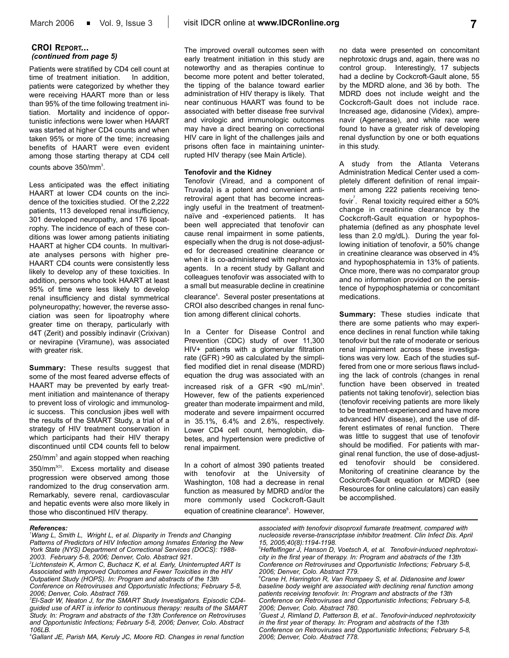## **CROI REPORT...** *(continued from page 5)*

Patients were stratified by CD4 cell count at time of treatment initiation. In addition, patients were categorized by whether they were receiving HAART more than or less than 95% of the time following treatment initiation. Mortality and incidence of opportunistic infections were lower when HAART was started at higher CD4 counts and when taken 95% or more of the time; increasing benefits of HAART were even evident among those starting therapy at CD4 cell counts above  $350/\text{mm}^3$ .

Less anticipated was the effect initiating HAART at lower CD4 counts on the incidence of the toxicities studied. Of the 2,222 patients, 113 developed renal insufficiency, 301 developed neuropathy, and 176 lipoatrophy. The incidence of each of these conditions was lower among patients initiating HAART at higher CD4 counts. In multivariate analyses persons with higher pre-HAART CD4 counts were consistently less likely to develop any of these toxicities. In addition, persons who took HAART at least 95% of time were less likely to develop renal insufficiency and distal symmetrical polyneuropathy; however, the reverse association was seen for lipoatrophy where greater time on therapy, particularly with d4T (Zerit) and possibly indinavir (Crixivan) or nevirapine (Viramune), was associated with greater risk.

**Summary:** These results suggest that some of the most feared adverse effects of HAART may be prevented by early treatment initiation and maintenance of therapy to prevent loss of virologic and immunologic success. This conclusion jibes well with the results of the SMART Study, a trial of a strategy of HIV treatment conservation in which participants had their HIV therapy discontinued until CD4 counts fell to below

 $250/mm<sup>3</sup>$  and again stopped when reaching 350/mm<sup>3(3)</sup>. Excess mortality and disease progression were observed among those randomized to the drug conservation arm. Remarkably, severe renal, cardiovascular and hepatic events were also more likely in those who discontinued HIV therapy.

The improved overall outcomes seen with early treatment initiation in this study are noteworthy and as therapies continue to become more potent and better tolerated, the tipping of the balance toward earlier administration of HIV therapy is likely. That near continuous HAART was found to be associated with better disease free survival and virologic and immunologic outcomes may have a direct bearing on correctional HIV care in light of the challenges jails and prisons often face in maintaining uninterrupted HIV therapy (see Main Article).

### **Tenofovir and the Kidney**

Tenofovir (Viread, and a component of Truvada) is a potent and convenient antiretroviral agent that has become increasingly useful in the treatment of treatmentnaïve and -experienced patients. It has been well appreciated that tenofovir can cause renal impairment in some patients, especially when the drug is not dose-adjusted for decreased creatinine clearance or when it is co-administered with nephrotoxic agents. In a recent study by Gallant and colleagues tenofovir was associated with to a small but measurable decline in creatinine clearance<sup>4</sup>. Several poster presentations at CROI also described changes in renal function among different clinical cohorts.

In a Center for Disease Control and Prevention (CDC) study of over 11,300 HIV+ patients with a glomerular filtration rate (GFR) >90 as calculated by the simplified modified diet in renal disease (MDRD) equation the drug was associated with an increased risk of a GFR <90 mL/min<sup>5</sup>. However, few of the patients experienced greater than moderate impairment and mild, moderate and severe impairment occurred in 35.1%, 6.4% and 2.6%, respectively. Lower CD4 cell count, hemoglobin, diabetes, and hypertension were predictive of renal impairment.

In a cohort of almost 390 patients treated with tenofovir at the University of Washington, 108 had a decrease in renal function as measured by MDRD and/or the more commonly used Cockcroft-Gault equation of creatinine clearance<sup>6</sup>. However,

no data were presented on concomitant nephrotoxic drugs and, again, there was no control group. Interestingly, 17 subjects had a decline by Cockcroft-Gault alone, 55 by the MDRD alone, and 36 by both. The MDRD does not include weight and the Cockcroft-Gault does not include race. Increased age, didanosine (Videx), amprenavir (Agenerase), and white race were found to have a greater risk of developing renal dysfunction by one or both equations in this study.

A study from the Atlanta Veterans Administration Medical Center used a completely different definition of renal impairment among 222 patients receiving tenofovir<sup>7</sup>. Renal toxicity required either a 50% change in creatinine clearance by the Cockcroft-Gault equation or hypophosphatemia (defined as any phosphate level less than 2.0 mg/dL). During the year following initiation of tenofovir, a 50% change in creatinine clearance was observed in 4% and hypophosphatemia in 13% of patients. Once more, there was no comparator group and no information provided on the persistence of hypophosphatemia or concomitant medications.

**Summary:** These studies indicate that there are some patients who may experience declines in renal function while taking tenofovir but the rate of moderate or serious renal impairment across these investigations was very low. Each of the studies suffered from one or more serious flaws including the lack of controls (changes in renal function have been observed in treated patients not taking tenofovir), selection bias (tenofovir receiving patients are more likely to be treatment-experienced and have more advanced HIV disease), and the use of different estimates of renal function. There was little to suggest that use of tenofovir should be modified. For patients with marginal renal function, the use of dose-adjusted tenofovir should be considered. Monitoring of creatinine clearance by the Cockcroft-Gault equation or MDRD (see Resources for online calculators) can easily be accomplished.

#### *References:*

*1 Wang L, Smith L, Wright L, et al. Disparity in Trends and Changing Patterns of Predictors of HIV Infection among Inmates Entering the New York State (NYS) Department of Correctional Services (DOCS): 1988- 2003. February 5-8, 2006; Denver, Colo. Abstract 921. 2 Lichtenstein K, Armon C, Buchacz K, et al. Early, Uninterrupted ART Is*

*Associated with Improved Outcomes and Fewer Toxicities in the HIV Outpatient Study (HOPS). In: Program and abstracts of the 13th Conference on Retroviruses and Opportunistic Infections; February 5-8, 2006; Denver, Colo. Abstract 769.*

*3 El-Sadr W, Neaton J, for the SMART Study Investigators. Episodic CD4 guided use of ART is inferior to continuous therapy: results of the SMART Study. In: Program and abstracts of the 13th Conference on Retroviruses and Opportunistic Infections; February 5-8, 2006; Denver, Colo. Abstract 106LB.* 

*4 Gallant JE, Parish MA, Keruly JC, Moore RD. Changes in renal function*

*associated with tenofovir disoproxil fumarate treatment, compared with nucleoside reverse-transcriptase inhibitor treatment. Clin Infect Dis. April 15, 2005;40(8):1194-1198.*

*7 Guest J, Rimland D, Patterson B, et al.. Tenofovir-induced nephrotoxicity in the first year of therapy. In: Program and abstracts of the 13th Conference on Retroviruses and Opportunistic Infections; February 5-8, 2006; Denver, Colo. Abstract 778.*

*<sup>5</sup> Heffelfinger J, Hanson D, Voetsch A, et al. Tenofovir-induced nephrotoxicity in the first year of therapy. In: Program and abstracts of the 13th Conference on Retroviruses and Opportunistic Infections; February 5-8, 2006; Denver, Colo. Abstract 779.*

*<sup>6</sup> Crane H, Harrington R, Van Rompaey S, et al. Didanosine and lower baseline body weight are associated with declining renal function among patients receiving tenofovir. In: Program and abstracts of the 13th Conference on Retroviruses and Opportunistic Infections; February 5-8, 2006; Denver, Colo. Abstract 780.*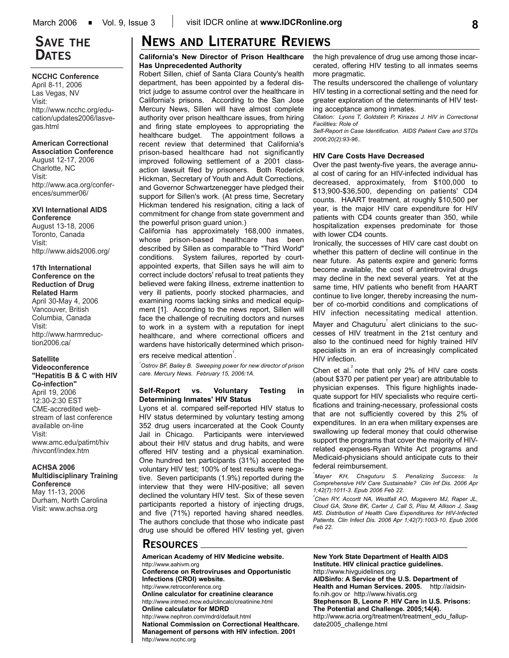# **SAVE THE DATES**

#### **NCCHC Conference**

April 8-11, 2006 Las Vegas, NV Visit: http://www.ncchc.org/education/updates2006/lasvegas.html

## **American Correctional**

**Association Conference** August 12-17, 2006 Charlotte, NC Visit: http://www.aca.org/conferences/summer06/

#### **XVI International AIDS Conference**

August 13-18, 2006 Toronto, Canada Visit: http://www.aids2006.org/

#### **17th International Conference on the Reduction of Drug Related Harm**

April 30-May 4, 2006 Vancouver, British Columbia, Canada Visit: http://www.harmreduction2006.ca/

## **Satellite Videoconference**

**"Hepatitis B & C with HIV Co-infection"** April 19, 2006 12:30-2:30 EST CME-accredited webstream of last conference available on-line Visit: www.amc.edu/patirnt/hiv /hivconf/index.htm

## **ACHSA 2006 Multidisciplinary Training Conference**

May 11-13, 2006 Durham, North Carolina Visit: www.achsa.org

# **NEWS AND LITERATURE REVIEWS**

### **California's New Director of Prison Healthcare Has Unprecedented Authority**

Robert Sillen, chief of Santa Clara County's health department, has been appointed by a federal district judge to assume control over the healthcare in California's prisons. According to the San Jose Mercury News, Sillen will have almost complete authority over prison healthcare issues, from hiring and firing state employees to appropriating the healthcare budget. The appointment follows a recent review that determined that California's prison-based healthcare had not significantly improved following settlement of a 2001 classaction lawsuit filed by prisoners. Both Roderick Hickman, Secretary of Youth and Adult Corrections, and Governor Schwartzenegger have pledged their support for Sillen's work. (At press time, Secretary Hickman tendered his resignation, citing a lack of commitment for change from state government and the powerful prison guard union.)

California has approximately 168,000 inmates, whose prison-based healthcare has been described by Sillen as comparable to "Third World" conditions. System failures, reported by courtappointed experts, that Sillen says he will aim to correct include doctors' refusal to treat patients they believed were faking illness, extreme inattention to very ill patients, poorly stocked pharmacies, and examining rooms lacking sinks and medical equipment [1]. According to the news report, Sillen will face the challenge of recruiting doctors and nurses to work in a system with a reputation for inept healthcare, and where correctional officers and wardens have historically determined which prison-

## ers receive medical attention $^{1}$ .

*1 Ostrov BF, Bailey B. Sweeping power for new director of prison care. Mercury News. February 15, 2006:1A.*

## **Self-Report vs. Voluntary Testing in Determining Inmates' HIV Status**

Lyons et al. compared self-reported HIV status to HIV status determined by voluntary testing among 352 drug users incarcerated at the Cook County Jail in Chicago. Participants were interviewed about their HIV status and drug habits, and were offered HIV testing and a physical examination. One hundred ten participants (31%) accepted the voluntary HIV test; 100% of test results were negative. Seven participants (1.9%) reported during the interview that they were HIV-positive; all seven declined the voluntary HIV test. Six of these seven participants reported a history of injecting drugs, and five (71%) reported having shared needles. The authors conclude that those who indicate past drug use should be offered HIV testing yet, given

the high prevalence of drug use among those incarcerated, offering HIV testing to all inmates seems more pragmatic.

The results underscored the challenge of voluntary HIV testing in a correctional setting and the need for greater exploration of the determinants of HIV testing acceptance among inmates.

*Citation: Lyons T, Goldstein P, Kiriazes J. HIV in Correctional Facilities: Role of*

*Self-Report in Case Identification. AIDS Patient Care and STDs 2006;20(2):93-96..*

## **HIV Care Costs Have Decreased**

Over the past twenty-five years, the average annual cost of caring for an HIV-infected individual has decreased, approximately, from \$100,000 to \$13,900-\$36,500, depending on patients' CD4 counts. HAART treatment, at roughly \$10,500 per year, is the major HIV care expenditure for HIV patients with CD4 counts greater than 350, while hospitalization expenses predominate for those with lower CD4 counts.

Ironically, the successes of HIV care cast doubt on whether this pattern of decline will continue in the near future. As patents expire and generic forms become available, the cost of antiretroviral drugs may decline in the next several years. Yet at the same time, HIV patients who benefit from HAART continue to live longer, thereby increasing the number of co-morbid conditions and complications of HIV infection necessitating medical attention.

Mayer and Chaguturu $^1$  alert clinicians to the successes of HIV treatment in the 21st century and also to the continued need for highly trained HIV specialists in an era of increasingly complicated HIV infection.

Chen et al. $^{2}$  note that only 2% of HIV care costs (about \$370 per patient per year) are attributable to physician expenses. This figure highlights inadequate support for HIV specialists who require certifications and training-necessary, professional costs that are not sufficiently covered by this 2% of expenditures. In an era when military expenses are swallowing up federal money that could otherwise support the programs that cover the majority of HIVrelated expenses-Ryan White Act programs and Medicaid-physicians should anticipate cuts to their federal reimbursement.

*1 Mayer KH, Chaguturu S. Penalizing Success: Is Comprehensive HIV Care Sustainable? Clin Inf Dis. 2006 Apr 1;42(7):1011-3. Epub 2006 Feb 22.*

*2 Chen RY, Accortt NA, Westfall AO, Mugavero MJ, Raper JL, Cloud GA, Stone BK, Carter J, Call S, Pisu M, Allison J, Saag MS. Distribution of Health Care Expenditures for HIV-Infected Patients. Clin Infect Dis. 2006 Apr 1;42(7):1003-10. Epub 2006 Feb 22.* 

## **RESOURCES**

**American Academy of HIV Medicine website.** http://www.aahivm.org **Conference on Retroviruses and Opportunistic Infections (CROI) website.**  http://www.retroconference.org **Online calculator for creatinine clearance** http://www.intmed.mcw.edu/clincalc/creatinine.html **Online calculator for MDRD**  http://www.nephron.com/mdrd/default.html **National Commission on Correctional Healthcare. Management of persons with HIV infection. 2001** http://www.ncchc.org

**New York State Department of Health AIDS Institute. HIV clinical practice guidelines.** http://www.hivguidelines.org **AIDSinfo: A Service of the U.S. Department of Health and Human Services. 2005.** http://aidsinfo.nih.gov or http://www.hivatis.org **Stephenson B, Leone P. HIV Care in U.S. Prisons: The Potential and Challenge. 2005;14(4).**  http://www.acria.org/treatment/treatment\_edu\_fallupdate2005\_challenge.html